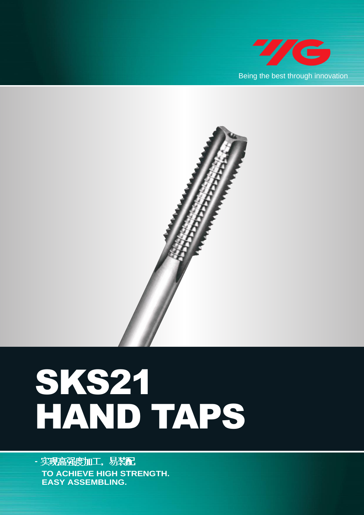



## SKS21 HAND TAPS

- 实现高强度加工, 易装**記 TO ACHIEVE HIGH STRENGTH. EASY ASSEMBLING.**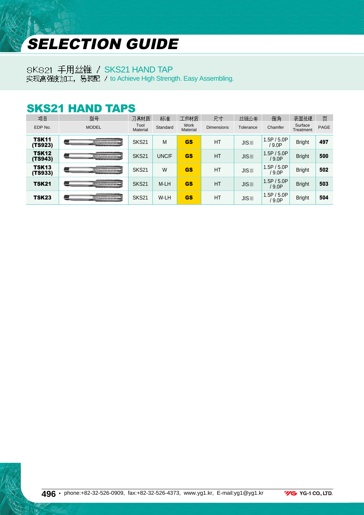## SELECTION GUIDE

SKS21 手用丝锥 / SKS21 HAND TAP

实现高强度加工, 易装配 / to Achieve High Strength. Easy Assembling.

## SKS21 HAND TAPS

| 项目                      | 型묵                                           | 刀具材质             | 标准       | 工件材质             | 尺寸                | 丝锥公差                 | 倒角                      | 表面处理                 | 页           |
|-------------------------|----------------------------------------------|------------------|----------|------------------|-------------------|----------------------|-------------------------|----------------------|-------------|
| EDP No.                 | <b>MODEL</b>                                 | Tool<br>Material | Standard | Work<br>Material | <b>Dimensions</b> | Tolerance            | Chamfer                 | Surface<br>Treatment | <b>PAGE</b> |
| <b>TSK11</b><br>(TS923) | ,,,,,,,,,,,,,,,,,,,,,,<br>,,,,,,,,,,,,,,,,,, | SKS21            | M        | <b>GS</b>        | <b>HT</b>         | <b>JISIII</b>        | 1.5P / 5.0P<br>9.0P     | <b>Bright</b>        | 497         |
| <b>TSK12</b><br>(TS943) |                                              | <b>SKS21</b>     | UNC/F    | <b>GS</b>        | <b>HT</b>         | $J\vert S\vert\vert$ | 1.5P / 5.0P<br>/ 9.0P   | <b>Bright</b>        | 500         |
| <b>TSK13</b><br>(TS933) | ----------------                             | SKS21            | W        | <b>GS</b>        | <b>HT</b>         | $J\vert S\vert\vert$ | 1.5P / 5.0P<br>9.0P     | <b>Bright</b>        | 502         |
| <b>TSK21</b>            | ****************                             | <b>SKS21</b>     | M-LH     | <b>GS</b>        | <b>HT</b>         | $J\vert S\vert\vert$ | 1.5P / 5.0P<br>$'$ 9.0P | <b>Bright</b>        | 503         |
| <b>TSK23</b>            | -------------------                          | SKS21            | W-LH     | <b>GS</b>        | <b>HT</b>         | <b>JISIII</b>        | 1.5P / 5.0P<br>$'$ 9.0P | <b>Bright</b>        | 504         |

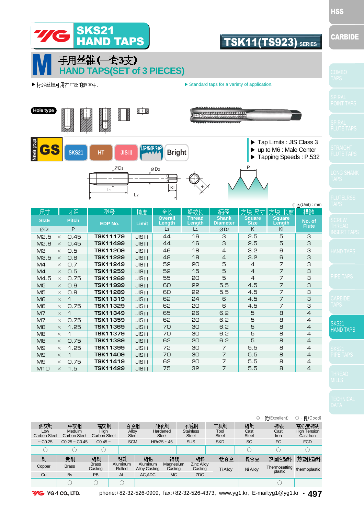

5 5 5 5.5 5.5 6  $\overline{6}$ 6.2 6.2 6.2 6.2 6.2 7 7 7 7

4 4 4 4.5 4.5 4.5 4.5 5 5 5 5 5 5.5 5.5 5.5 5.5

3 3 3 3 3  $\overline{a}$  $\overline{B}$ 4  $\Delta$  $\overline{4}$  $\overline{4}$  $\overline{4}$  $\Delta$ 4 4 4

SKS<sub>21</sub> HAND TAPS

|                                                               |                                                         |                                          |                                     |                      |                                          |         |                                                       |                         |                                           |                                         | ◎:优(Excellent)                                                    | ○: 良(Good)                                              |
|---------------------------------------------------------------|---------------------------------------------------------|------------------------------------------|-------------------------------------|----------------------|------------------------------------------|---------|-------------------------------------------------------|-------------------------|-------------------------------------------|-----------------------------------------|-------------------------------------------------------------------|---------------------------------------------------------|
| 低碳钢<br>Low<br><b>Carbon Steel</b><br>$\sim$ C <sub>0.25</sub> | 中碳钢<br>Meduim<br><b>Carbon Steel</b><br>$CO.25 - CO.45$ | 高碳钢<br>High<br>Carbon Steel<br>$CO.45 -$ | 合金钢<br>Alloy<br>Steel<br><b>SCM</b> |                      | Hardened<br><b>Steel</b><br>$HRc25 - 45$ | 硬化钢     | 不锈钢<br><b>Stainless</b><br><b>Steel</b><br><b>SUS</b> |                         | 工具钢<br>Tool<br><b>Steel</b><br><b>SKD</b> | 铸钢<br>Cast<br><b>Steel</b><br><b>SC</b> | 铸铁<br>Cast<br>Iron<br><b>FC</b>                                   | 高强度铸铁<br><b>High Tension</b><br>Cast Iron<br><b>FCD</b> |
|                                                               |                                                         | ( )                                      |                                     |                      |                                          |         |                                                       |                         |                                           |                                         | C                                                                 | С                                                       |
| 铜                                                             | 黄铜                                                      | 铸铜<br><b>Brass</b>                       | 铝轧<br>Aluminum                      | 铸铝<br>Aluminum       | 铸镁<br>Magnesium                          |         |                                                       | 铸锌<br><b>Zinc Allov</b> | 钛合金                                       | 镍合金                                     | 热固性塑料                                                             | 热塑性塑料                                                   |
| Copper                                                        | <b>Brass</b>                                            | Casting<br><b>PB</b>                     | Rolled                              | <b>Alloy Casting</b> |                                          | Casting |                                                       | Casting                 | <b>Ti Alloy</b>                           | Ni Alloy                                | Thermosetting<br>plastic                                          | thermoplastic                                           |
| Cu                                                            | <b>Bs</b><br>∩                                          | ∩                                        | <b>AL</b>                           | AC, ADC              |                                          | MC.     |                                                       | <b>ZDC</b>              |                                           |                                         |                                                                   |                                                         |
| $M2 N$ $N$ $1 N$ $1 T$                                        |                                                         |                                          | nhono: 199.39.598.0000.             |                      |                                          |         | $f_{2}y_{1}$ (20.20.506.4272)                         |                         |                                           |                                         | $m m u v a 1 k r$ E moil: $a 1 \rightarrow u r$ $\rightarrow$ Any |                                                         |

HSS

 $M4 \times 0.7$  $M4 \times 0.5$  $M4.5 \times 0.75$  $M5 \times 0.9$  $M5 \times 0.8$  $MB \times 1$  $M6 \times 0.75$  $M7 \times 1$  $M7 \times 0.75$  $M8 \times 1.25$  $MB \times 1$  $M8 \times 0.75$  $M9 \times 1.25$  $M9 \times 1$  $M9 \times 0.75$  $M10 \times 1.5$ 

**TSK11249 TSK11259 TSK11269 TSK11999 TSK11289 TSK11319 TSK11329 TSK11349 TSK11359 TSK11369 TSK11379 TSK11389 TSK11399 TSK11409 TSK11419 TSK11429**

JISⅢ JISⅢ JISⅢ JISⅢ JISⅢ JISⅢ JISⅢ JISⅢ JISⅢ JISⅢ JISⅢ JISⅢ JISⅢ JISⅢ JISⅢ JISⅢ

**G** YG-1 CO., LTD.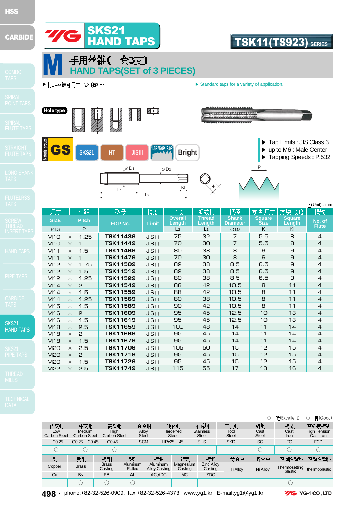

SKS21 HAND TAPS  $M15 \times 1.5$  $M16 \times 2$  $M16 \times 1.5$ M18  $\times$  2.5 M18  $\times$  2 M18  $\times$  1.5 M20  $\times$  2.5 M2O  $\times$  2 M20  $\times$  1.5 M22 × 2.5 **TSK11589 TSK11609 TSK11619 TSK11659 TSK11669 TSK11679 TSK11709 TSK11719 TSK11729 TSK11749** JISⅢ JISⅢ JISⅢ JISⅢ JISⅢ JISⅢ JISⅢ JISⅢ JISⅢ JISⅢ

|                            |                               |                         |                    |                                  |                          |                                  |                 |                      | ◎: 优(Excellent)          | ○: 良(Good)                       |
|----------------------------|-------------------------------|-------------------------|--------------------|----------------------------------|--------------------------|----------------------------------|-----------------|----------------------|--------------------------|----------------------------------|
| 低碳钢                        | 中碳钢                           | 高碳钢                     | 合金钢                |                                  | 硬化钢                      | 不锈钢                              | 工具钢             | 铸钢                   | 铸铁                       | 高强度铸铁                            |
| Low<br><b>Carbon Steel</b> | Meduim<br><b>Carbon Steel</b> | High<br>Carbon Steel    | Alloy<br>Steel     |                                  | Hardened<br><b>Steel</b> | <b>Stainless</b><br><b>Steel</b> | Tool<br>Steel   | Cast<br><b>Steel</b> | Cast<br><b>Iron</b>      | <b>High Tension</b><br>Cast Iron |
| $\sim$ C <sub>0.25</sub>   | $CO.25 - CO.45$               | $C0.45$ ~               | <b>SCM</b>         |                                  | $HRc25 - 45$             | <b>SUS</b>                       | <b>SKD</b>      | <b>SC</b>            | <b>FC</b>                | <b>FCD</b>                       |
| C                          |                               |                         |                    |                                  |                          |                                  |                 |                      |                          |                                  |
| 铜                          | 黄铜                            | 铸铜                      | 铅轧                 | 铸铝                               | 铸镁                       | 铸锌                               | 钛合金             | 镍合金                  | 热固性塑料                    | 热塑性塑料                            |
| Copper                     | <b>Brass</b>                  | <b>Brass</b><br>Casting | Aluminum<br>Rolled | Aluminum<br><b>Alloy Casting</b> | Magnesium<br>Casting     | <b>Zinc Alloy</b><br>Casting     | <b>Ti Alloy</b> | Ni Alloy             | Thermosetting<br>plastic | thermoplastic                    |
| Cu                         | <b>Bs</b>                     | PB                      | <b>AL</b>          | AC.ADC                           | <b>MC</b>                | ZDC                              |                 |                      |                          |                                  |
|                            |                               |                         | ◡                  |                                  |                          |                                  |                 |                      |                          |                                  |

**498 •** phone:+82-32-526-0909, fax:+82-32-526-4373, www.yg1.kr, E-mail:yg1@yg1.kr

**7/G** YG-1 CO., LTD.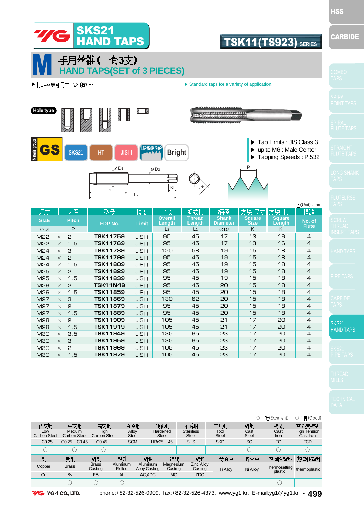

SKS<sub>21</sub> HAND TAPS

|                            |                               |                         |                    |                                  |                          |                      |                                  |                      |                      | ◎:优(Excellent)            | ○: 良(Good)                       |
|----------------------------|-------------------------------|-------------------------|--------------------|----------------------------------|--------------------------|----------------------|----------------------------------|----------------------|----------------------|---------------------------|----------------------------------|
| 低碳钢                        | 中碳钢                           | 高碳钢                     | 合金钢                |                                  | 硬化钢                      |                      | 不锈钢                              | 工具钢                  | 铸钢                   | 铸铁                        | 高强度铸铁                            |
| Low<br><b>Carbon Steel</b> | Meduim<br><b>Carbon Steel</b> | High<br>Carbon Steel    | Alloy<br>Steel     |                                  | Hardened<br><b>Steel</b> |                      | <b>Stainless</b><br><b>Steel</b> | Tool<br><b>Steel</b> | Cast<br><b>Steel</b> | Cast<br>Iron              | <b>High Tension</b><br>Cast Iron |
| $\sim$ C <sub>0.25</sub>   | $CO.25 - CO.45$               | $CO.45 -$               | <b>SCM</b>         |                                  | $HRc25 \sim 45$          |                      | <b>SUS</b>                       | <b>SKD</b>           | <b>SC</b>            | <b>FC</b>                 | <b>FCD</b>                       |
|                            |                               |                         |                    |                                  |                          |                      |                                  |                      |                      | C                         | С                                |
| 铜                          | 黄铜                            | 铸铜                      | 铝轧                 | 铸铝                               |                          | 铸镁                   | 铸锌                               | 钛合金                  | 镍合金                  | 热固性塑料                     | 热塑性塑料                            |
| Copper                     | <b>Brass</b>                  | <b>Brass</b><br>Casting | Aluminum<br>Rolled | Aluminum<br><b>Alloy Casting</b> |                          | Magnesium<br>Casting | <b>Zinc Allov</b><br>Casting     | <b>Ti Alloy</b>      | Ni Allov             | Thermosetting<br>plastic  | thermoplastic                    |
| Cu                         | <b>Bs</b>                     | <b>PB</b>               | <b>AL</b>          | AC, ADC                          |                          | MC.                  | <b>ZDC</b>                       |                      |                      |                           |                                  |
|                            |                               | C                       |                    |                                  |                          |                      |                                  |                      |                      |                           |                                  |
| ----                       | $3/2$ $3/2$ $1$ $7$           |                         |                    |                                  |                          |                      |                                  |                      |                      | $\mathbf{u}_{\text{max}}$ | $\sqrt{2}$                       |



 $M25 \times 1.5$  $M26 \times 2$  $M26 \times 1.5$  $M27 \times 3$  $M27 \times 2$  $MP7 \times 1.5$  $MPR \times P$ M28  $\times$  1.5  $M30 \times 3.5$  $M30 \times 3$ M30  $\times$  2 M30  $\times$  1.5

**TSK11839 TSK11N49 TSK11859 TSK11869 TSK11879 TSK11889 TSK11909 TSK11919 TSK11949 TSK11959 TSK11969 TSK11979** JISⅢ JISⅢ JISⅢ JISⅢ JISⅢ JISⅢ JISⅢ JISⅢ JISⅢ JISⅢ JISⅢ JISⅢ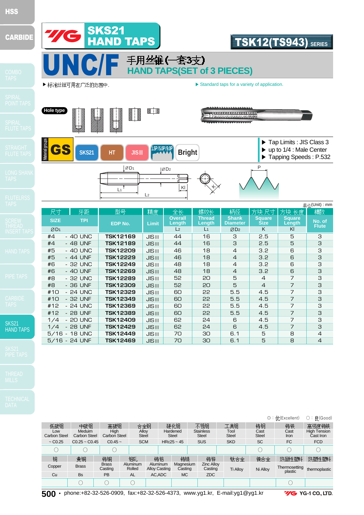|                                                 | -   |
|-------------------------------------------------|-----|
| . .                                             |     |
| __<br>$\overline{\phantom{a}}$<br>___<br>_<br>- | ___ |

**TIC** 

SKS21 **HAND TAP** 



**500 •** phone:+82-32-526-0909, fax:+82-32-526-4373, www.yg1.kr, E-mail:yg1@yg1.kr

**YG** YG-1 CO., LTD.

TSK12(TS943) **SERIES**



SKS21

**ND TAPS** 



|    |                  |            |                 |                      |                          |                         |                                 |                              |                         | 单位(Unit): mm           |
|----|------------------|------------|-----------------|----------------------|--------------------------|-------------------------|---------------------------------|------------------------------|-------------------------|------------------------|
|    | 尺寸               | 牙距         | 型号              | 精度                   | 全长                       | 螺纹长                     | 柄径                              | ·方块 尺寸                       | 方块长度                    | 槽数                     |
|    | <b>SIZE</b>      | <b>TPI</b> | EDP No.         | Limit                | <b>Overall</b><br>Length | <b>Thread</b><br>Length | <b>Shank</b><br><b>Diameter</b> | <b>Square</b><br><b>Size</b> | <b>Square</b><br>Length | No. of<br><b>Flute</b> |
|    | ØD1              |            |                 |                      | L <sub>2</sub>           | L <sub>1</sub>          | ØD2                             | K                            | KI                      |                        |
|    | - 40 UNC<br>#4   |            | <b>TSK12169</b> | <b>JISIII</b>        | 44                       | 16                      | 3                               | 2.5                          | 5                       | 3                      |
|    | - 48 UNF<br>#4   |            | <b>TSK12189</b> | $JIS$ III            | 44                       | 16                      | 3                               | 2.5                          | 5                       | З                      |
|    | #5<br>- 40 UNC   |            | <b>TSK12209</b> | $JIS$ III            | 46                       | 18                      | $\overline{4}$                  | 3.2                          | 6                       | З                      |
|    | #5<br>- 44 UNF   |            | TSK12229        | $J\vert S\vert\vert$ | 46                       | 18                      | $\overline{4}$                  | 3.2 <sub>2</sub>             | 6                       | З                      |
|    | #6<br>- 32 UNC   |            | TSK12249        | <b>JISIII</b>        | 48                       | 18                      | $\overline{4}$                  | 3.2                          | 6                       | З                      |
|    | #6<br>- 40 UNF   |            | <b>TSK12269</b> | $JIS$ III            | 48                       | 18                      | $\overline{4}$                  | 3.2                          | 6                       | З                      |
|    | #8<br>- 32 UNC   |            | <b>TSK12289</b> | $JIS$ III            | 52                       | 50                      | 5                               | $\overline{4}$               | 7                       | З                      |
|    | #8<br>- 36 UNF   |            | <b>TSK12309</b> | $JIS$ III            | 52                       | 50                      | 5                               | $\overline{4}$               | $\overline{7}$          | З                      |
|    | #10<br>- 24 UNC  |            | TSK12329        | <b>JISIII</b>        | 60                       | 55                      | 5.5                             | 4.5                          | 7                       | З                      |
|    | - 32 UNF<br>#10  |            | TSK12349        | <b>JISIII</b>        | 60                       | 55                      | 5.5                             | 4.5                          | $\overline{7}$          | З                      |
|    | - 24 UNC<br>#12  |            | <b>TSK12369</b> | $JIS$ III            | 60                       | 55                      | 5.5                             | 4.5                          | $\overline{7}$          | З                      |
|    | #12<br>- 28 UNF  |            | <b>TSK12389</b> | <b>JISIII</b>        | 60                       | 55                      | 5.5                             | 4.5                          | $\overline{7}$          | З                      |
|    | - 20 UNC<br>1/4  |            | <b>TSK12409</b> | <b>JISIII</b>        | 62                       | 24                      | 6                               | 4.5                          | 7                       | 3                      |
| S. | $-28$ UNF<br>1/4 |            | <b>TSK12429</b> | $JIS$ III            | 62                       | 24                      | 6                               | 4.5                          | 7                       | З                      |
|    | $5/16 - 18$ UNC  |            | TSK12449        | $JIS$ III            | 70                       | 30                      | 6.1                             | 5                            | 8                       | $\overline{4}$         |
|    | $5/16 - 24$ UNF  |            | <b>TSK12469</b> | $JIS$                | 70                       | 30                      | 6.1                             | 5                            | 8                       | $\overline{4}$         |
|    |                  |            |                 |                      |                          |                         |                                 |                              |                         |                        |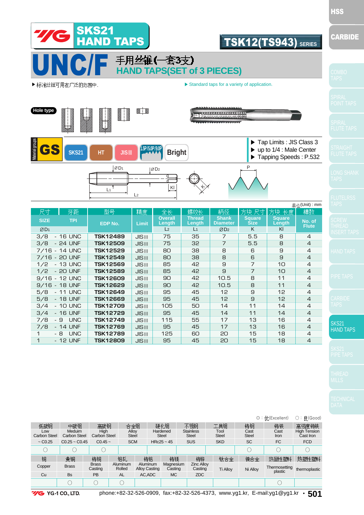

SKS<sub>21</sub> HAND TAPS

| 低碳钢<br>Low<br><b>Carbon Steel</b> | 中碳钢<br>Meduim<br><b>Carbon Steel</b> | 高碳钢<br>High<br>Carbon Steel | 合金钢<br>Alloy<br><b>Steel</b> |                                  |          | 硬化钢<br>Hardened<br><b>Steel</b> | 不锈钢<br><b>Stainless</b><br><b>Steel</b>       | 工具钢<br>Tool<br><b>Steel</b> |                 | 铸钢<br>Cast<br><b>Steel</b> | ◎:优(Excellent)<br>铸铁<br>Cast<br>Iron    | ○: 良(Good)<br>高强度铸铁<br><b>High Tension</b><br>Cast Iron |
|-----------------------------------|--------------------------------------|-----------------------------|------------------------------|----------------------------------|----------|---------------------------------|-----------------------------------------------|-----------------------------|-----------------|----------------------------|-----------------------------------------|---------------------------------------------------------|
| $\sim$ C <sub>0.25</sub>          | $CO.25 - CO.45$                      | $CO.45 -$                   | <b>SCM</b>                   |                                  |          | $HRc25 - 45$                    | <b>SUS</b>                                    | <b>SKD</b>                  |                 | <b>SC</b>                  | <b>FC</b>                               | <b>FCD</b>                                              |
|                                   |                                      |                             |                              |                                  |          |                                 |                                               |                             |                 |                            | C                                       | 0                                                       |
| 铜                                 | 黄铜                                   | 铸铜                          | 铝轧                           |                                  | 铸铝<br>铸镁 |                                 | 铸锌                                            |                             | 钛合金             | 镍合金                        | 热固性塑料                                   | 热塑性塑料                                                   |
| Copper                            | <b>Brass</b>                         | <b>Brass</b><br>Casting     | Aluminum<br>Rolled           | Aluminum<br><b>Alloy Casting</b> |          | Magnesium<br>Casting            | <b>Zinc Alloy</b><br>Casting                  |                             | <b>Ti Alloy</b> | Ni Alloy                   | Thermosetting<br>plastic                | thermoplastic                                           |
| Cu                                | <b>Bs</b>                            | <b>PB</b>                   | <b>AL</b>                    | AC, ADC                          |          | MC.                             | <b>ZDC</b>                                    |                             |                 |                            |                                         |                                                         |
|                                   |                                      | $\bigcirc$                  |                              |                                  |          |                                 |                                               |                             |                 |                            |                                         |                                                         |
| $\cdots$                          | $\sim$                               |                             | $k_{max}$ , 00.00.500.0000   |                                  |          |                                 | $f_{\text{max}}$ , an an rac $f_{\text{max}}$ |                             |                 |                            | سالهميزه استنائهم والمستارين والمستنبين | FA 4                                                    |

**VG** YG-1 CO., LTD.

3/4 - 10 UNC 3/4 - 16 UNF 7/8 - 9 UNC 7/8 - 14 UNF 1 -8 UNC 1 - 12 UNF

**TSK12709 TSK12729 TSK12749 TSK12769 TSK12789 TSK12809** JISⅢ JISⅢ JISⅢ JISⅢ JISⅢ JISⅢ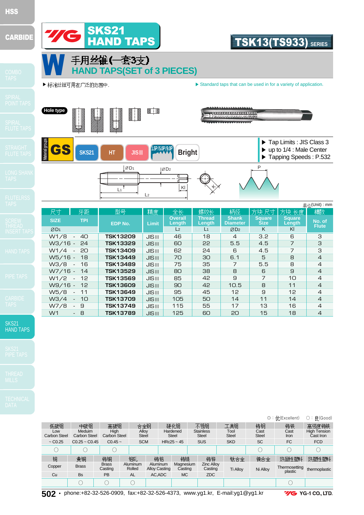

W5/8 - 11 W3/4 - 10 W7/8 - 9 W1 - 8

**TSK13649 TSK13709 TSK13749 TSK13789** JISⅢ JISⅢ JISⅢ JISⅢ JISⅢ

SKS21 HAND TAPS

|                                   |                                      |                             |                       |                                  |                                 |                                         |                             |                            | $\circ$ : 优(Excellent)    | ○: 良(Good)                                       |
|-----------------------------------|--------------------------------------|-----------------------------|-----------------------|----------------------------------|---------------------------------|-----------------------------------------|-----------------------------|----------------------------|---------------------------|--------------------------------------------------|
| 低碳钢<br>Low<br><b>Carbon Steel</b> | 中碳钢<br>Meduim<br><b>Carbon Steel</b> | 高碳钢<br>High<br>Carbon Steel | 合金钢<br>Alloy<br>Steel |                                  | 硬化钢<br>Hardened<br><b>Steel</b> | 不锈钢<br><b>Stainless</b><br><b>Steel</b> | 工具钢<br>Tool<br><b>Steel</b> | 铸钢<br>Cast<br><b>Steel</b> | 铸铁<br>Cast<br><b>Iron</b> | 高强度铸铁<br><b>High Tension</b><br><b>Cast Iron</b> |
| $\sim$ C <sub>0.25</sub>          | $CO.25 - CO.45$                      | $CO.45 -$                   | <b>SCM</b>            |                                  | $HRc25 \sim 45$                 | <b>SUS</b>                              | <b>SKD</b>                  | <b>SC</b>                  | <b>FC</b>                 | <b>FCD</b>                                       |
| O                                 |                                      |                             |                       |                                  |                                 |                                         |                             | Ω                          | C                         |                                                  |
| 铜                                 | 黄铜                                   | 铸铜                          | 铅轧                    | 铸铝                               | 铸镁                              | 铸锌                                      | 钛合金                         | 镍合金                        | 热固性塑料                     | 热塑性塑料                                            |
| Copper                            | <b>Brass</b>                         | <b>Brass</b><br>Casting     | Aluminum<br>Rolled    | Aluminum<br><b>Alloy Casting</b> | Magnesium<br>Casting            | <b>Zinc Alloy</b><br>Casting            | <b>Ti Alloy</b>             | Ni Alloy                   | Thermosetting<br>plastic  | thermoplastic                                    |
| Cu                                | <b>Bs</b>                            | PB                          | <b>AL</b>             | AC.ADC                           | MC.                             | ZDC                                     |                             |                            |                           |                                                  |
|                                   |                                      |                             |                       |                                  |                                 |                                         |                             |                            |                           |                                                  |

**502 •** phone:+82-32-526-0909, fax:+82-32-526-4373, www.yg1.kr, E-mail:yg1@yg1.kr

**7/G** YG-1 CO., LTD.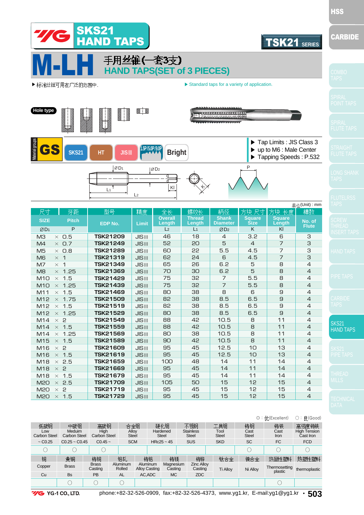

7 7 8 8.5 8.5 8.5 10.5 10.5 10.5 10.5 12.5 12.5 14 14 14 15 15 15

5.5 5.5 6 6.5 6.5 6.5 8  $\mathsf{R}$ 8 8  $1<sub>0</sub>$  $1<sup>0</sup>$ 11 11 11 12 12 12

| --<br>_ | - |  |
|---------|---|--|
|         |   |  |
|         |   |  |
|         |   |  |

HSS

SKS21 HAND TAPS

|                                   |                               |                             |                       |          |                      |                                 |                                         |                             |                            | $\circ$ : 优(Excellent)   | ○:良(Good)                                 |
|-----------------------------------|-------------------------------|-----------------------------|-----------------------|----------|----------------------|---------------------------------|-----------------------------------------|-----------------------------|----------------------------|--------------------------|-------------------------------------------|
| 低碳钢<br>Low<br><b>Carbon Steel</b> | 中碳钢<br>Meduim<br>Carbon Steel | 高碳钢<br>High<br>Carbon Steel | 合金钢<br>Alloy<br>Steel |          |                      | 硬化钢<br>Hardened<br><b>Steel</b> | 不锈钢<br><b>Stainless</b><br><b>Steel</b> | 工具钢<br>Tool<br><b>Steel</b> | 铸钢<br>Cast<br><b>Steel</b> | 铸铁<br>Cast<br>Iron       | 高强度铸铁<br><b>High Tension</b><br>Cast Iron |
| $\sim$ C <sub>0.25</sub>          | $C0.25$ ~ $C0.45$             | $C0.45$ ~                   | <b>SCM</b>            |          |                      | $HRc25 \sim 45$                 | <b>SUS</b>                              | <b>SKD</b>                  | <b>SC</b>                  | FC                       | <b>FCD</b>                                |
| С                                 |                               | O                           |                       |          |                      |                                 |                                         |                             | ∩                          |                          | О                                         |
| 铜                                 | 黄铜                            | 铸铜                          | 铝轧                    |          | 铸铝                   | 铸镁                              | 铸锌                                      | 钛合金                         | 镍合金                        | 热固性塑料                    | 热塑性塑料                                     |
| Copper                            | <b>Brass</b>                  | <b>Brass</b><br>Casting     | Aluminum<br>Rolled    | Aluminum | <b>Alloy Casting</b> | Magnesium<br>Casting            | <b>Zinc Alloy</b><br>Casting            | <b>Ti Alloy</b>             | Ni Alloy                   | Thermosetting<br>plastic | thermoplastic                             |
| Cu                                | <b>Bs</b>                     | PB                          | <b>AL</b>             | AC, ADC  |                      | MC.                             | <b>ZDC</b>                              |                             |                            |                          |                                           |
|                                   |                               | ∩                           |                       |          |                      |                                 |                                         |                             |                            | 0                        |                                           |
|                                   |                               |                             | 0.0000000000          |          |                      |                                 | 0.000000000                             |                             | $\sim$<br>-                | $\sim$<br>. .            |                                           |

**YG-1CO, LTD.** 

 $M10 \times 1.5$ M10  $\times$  1.25  $M11 \times 1.5$  $M12 \times 1.75$ M12  $\times$  1.5  $M12 \times 1.25$  $M14 \times 7$ M14  $\times$  1.5  $M14 \times 1.25$  $M15 \times 1.5$ M16  $\times$  2 M16  $\times$  1.5 M18  $\times$  2.5 M18  $\times$  2 M18  $\times$  1.5 M2O  $\times$  2.5 M2O  $\times$  2 M2O  $\times$  1.5

**TSK21429 TSK21439 TSK21469 TSK21509 TSK21519 TSK21529 TSK21549 TSK21559 TSK21569 TSK21589 TSK21609 TSK21619 TSK21659 TSK21669 TSK21679 TSK21709 TSK21719 TSK21729** JISⅢ JISⅢ JISⅢ JISⅢ JISⅢ JISⅢ JISⅢ JISⅢ JISⅢ JISⅢ JISⅢ JISⅢ JISⅢ JISⅢ JISⅢ JISⅢ JISⅢ JISⅢ